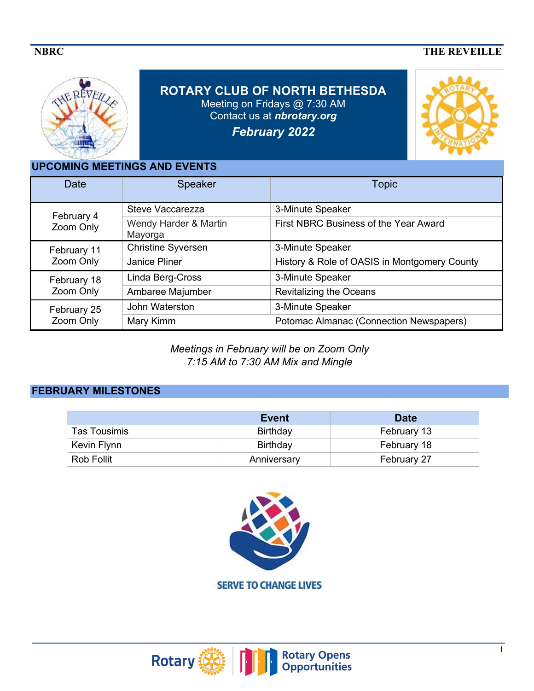# **NBRC** THE REVEILLE



**ROTARY CLUB OF NORTH BETHESDA**  Meeting on Fridays @ 7:30 AM Contact us at *nbrotary.org February 2022*



**UPCOMING MEETINGS AND EVENTS** 

| <b>Date</b>              | <b>Speaker</b>                   | <b>Topic</b>                                 |
|--------------------------|----------------------------------|----------------------------------------------|
| February 4<br>Zoom Only  | Steve Vaccarezza                 | 3-Minute Speaker                             |
|                          | Wendy Harder & Martin<br>Mayorga | First NBRC Business of the Year Award        |
| February 11<br>Zoom Only | <b>Christine Syversen</b>        | 3-Minute Speaker                             |
|                          | Janice Pliner                    | History & Role of OASIS in Montgomery County |
| February 18<br>Zoom Only | Linda Berg-Cross                 | 3-Minute Speaker                             |
|                          | Ambaree Majumber                 | <b>Revitalizing the Oceans</b>               |
| February 25<br>Zoom Only | John Waterston                   | 3-Minute Speaker                             |
|                          | Mary Kimm                        | Potomac Almanac (Connection Newspapers)      |

*Meetings in February will be on Zoom Only 7:15 AM to 7:30 AM Mix and Mingle* 

# **FEBRUARY MILESTONES**

|                     | Event       | <b>Date</b> |
|---------------------|-------------|-------------|
| <b>Tas Tousimis</b> | Birthday    | February 13 |
| Kevin Flynn         | Birthday    | February 18 |
| <b>Rob Follit</b>   | Anniversary | February 27 |



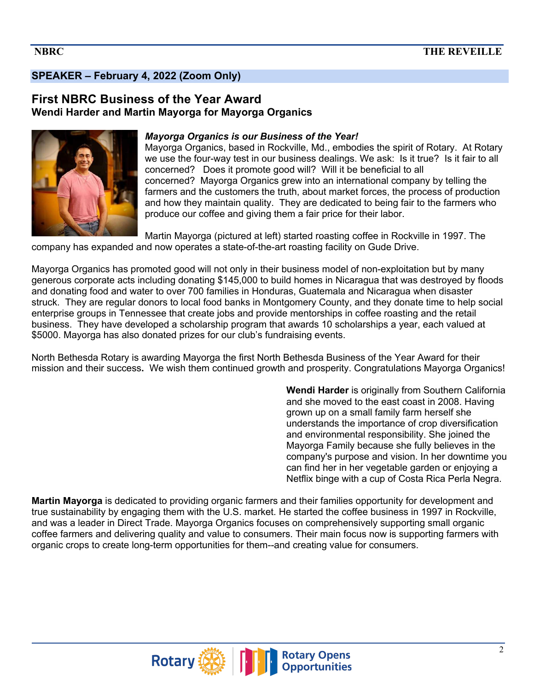# **SPEAKER – February 4, 2022 (Zoom Only)**

### **First NBRC Business of the Year Award Wendi Harder and Martin Mayorga for Mayorga Organics**



#### *Mayorga Organics is our Business of the Year!*

Mayorga Organics, based in Rockville, Md., embodies the spirit of Rotary. At Rotary we use the four-way test in our business dealings. We ask: Is it true? Is it fair to all concerned? Does it promote good will? Will it be beneficial to all concerned? Mayorga Organics grew into an international company by telling the farmers and the customers the truth, about market forces, the process of production and how they maintain quality. They are dedicated to being fair to the farmers who produce our coffee and giving them a fair price for their labor.

Martin Mayorga (pictured at left) started roasting coffee in Rockville in 1997. The company has expanded and now operates a state-of-the-art roasting facility on Gude Drive.

Mayorga Organics has promoted good will not only in their business model of non-exploitation but by many generous corporate acts including donating \$145,000 to build homes in Nicaragua that was destroyed by floods and donating food and water to over 700 families in Honduras, Guatemala and Nicaragua when disaster struck. They are regular donors to local food banks in Montgomery County, and they donate time to help social enterprise groups in Tennessee that create jobs and provide mentorships in coffee roasting and the retail business. They have developed a scholarship program that awards 10 scholarships a year, each valued at \$5000. Mayorga has also donated prizes for our club's fundraising events.

North Bethesda Rotary is awarding Mayorga the first North Bethesda Business of the Year Award for their mission and their success**.** We wish them continued growth and prosperity. Congratulations Mayorga Organics!

> **Wendi Harder** is originally from Southern California and she moved to the east coast in 2008. Having grown up on a small family farm herself she understands the importance of crop diversification and environmental responsibility. She joined the Mayorga Family because she fully believes in the company's purpose and vision. In her downtime you can find her in her vegetable garden or enjoying a Netflix binge with a cup of Costa Rica Perla Negra.

**Martin Mayorga** is dedicated to providing organic farmers and their families opportunity for development and true sustainability by engaging them with the U.S. market. He started the coffee business in 1997 in Rockville, and was a leader in Direct Trade. Mayorga Organics focuses on comprehensively supporting small organic coffee farmers and delivering quality and value to consumers. Their main focus now is supporting farmers with organic crops to create long-term opportunities for them--and creating value for consumers.

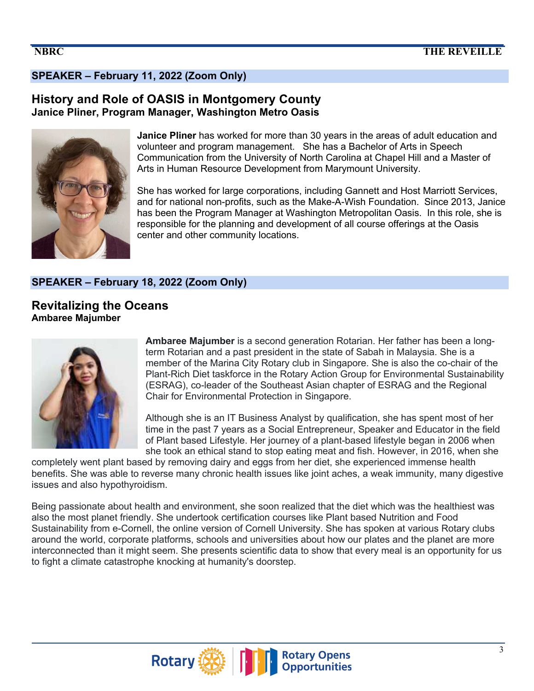# **SPEAKER – February 11, 2022 (Zoom Only)**

## **History and Role of OASIS in Montgomery County Janice Pliner, Program Manager, Washington Metro Oasis**



**Janice Pliner** has worked for more than 30 years in the areas of adult education and volunteer and program management. She has a Bachelor of Arts in Speech Communication from the University of North Carolina at Chapel Hill and a Master of Arts in Human Resource Development from Marymount University.

She has worked for large corporations, including Gannett and Host Marriott Services, and for national non-profits, such as the Make-A-Wish Foundation. Since 2013, Janice has been the Program Manager at Washington Metropolitan Oasis. In this role, she is responsible for the planning and development of all course offerings at the Oasis center and other community locations.

### **SPEAKER – February 18, 2022 (Zoom Only)**

**Revitalizing the Oceans Ambaree Majumber**



**Ambaree Majumber** is a second generation Rotarian. Her father has been a longterm Rotarian and a past president in the state of Sabah in Malaysia. She is a member of the Marina City Rotary club in Singapore. She is also the co-chair of the Plant-Rich Diet taskforce in the Rotary Action Group for Environmental Sustainability (ESRAG), co-leader of the Southeast Asian chapter of ESRAG and the Regional Chair for Environmental Protection in Singapore.

Although she is an IT Business Analyst by qualification, she has spent most of her time in the past 7 years as a Social Entrepreneur, Speaker and Educator in the field of Plant based Lifestyle. Her journey of a plant-based lifestyle began in 2006 when she took an ethical stand to stop eating meat and fish. However, in 2016, when she

completely went plant based by removing dairy and eggs from her diet, she experienced immense health benefits. She was able to reverse many chronic health issues like joint aches, a weak immunity, many digestive issues and also hypothyroidism.

Being passionate about health and environment, she soon realized that the diet which was the healthiest was also the most planet friendly. She undertook certification courses like Plant based Nutrition and Food Sustainability from e-Cornell, the online version of Cornell University. She has spoken at various Rotary clubs around the world, corporate platforms, schools and universities about how our plates and the planet are more interconnected than it might seem. She presents scientific data to show that every meal is an opportunity for us to fight a climate catastrophe knocking at humanity's doorstep.

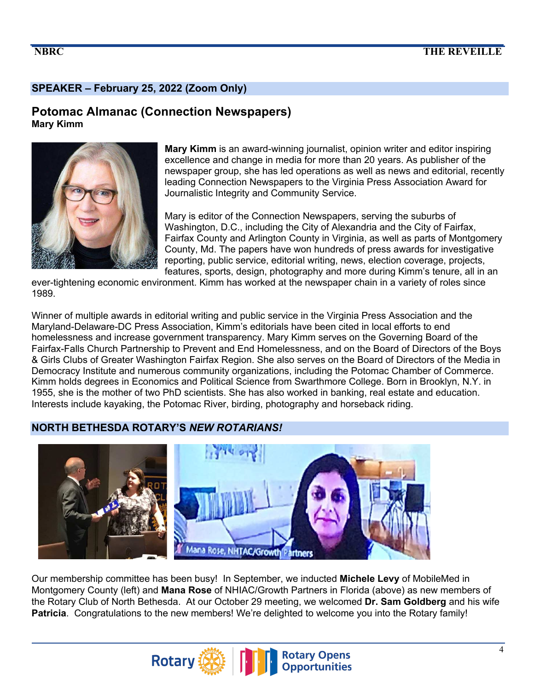## **SPEAKER – February 25, 2022 (Zoom Only)**

### **Potomac Almanac (Connection Newspapers) Mary Kimm**





**Mary Kimm** is an award-winning journalist, opinion writer and editor inspiring excellence and change in media for more than 20 years. As publisher of the newspaper group, she has led operations as well as news and editorial, recently leading Connection Newspapers to the Virginia Press Association Award for Journalistic Integrity and Community Service.

Mary is editor of the Connection Newspapers, serving the suburbs of Washington, D.C., including the City of Alexandria and the City of Fairfax, Fairfax County and Arlington County in Virginia, as well as parts of Montgomery County, Md. The papers have won hundreds of press awards for investigative reporting, public service, editorial writing, news, election coverage, projects, features, sports, design, photography and more during Kimm's tenure, all in an

ever-tightening economic environment. Kimm has worked at the newspaper chain in a variety of roles since 1989.

Winner of multiple awards in editorial writing and public service in the Virginia Press Association and the Maryland-Delaware-DC Press Association, Kimm's editorials have been cited in local efforts to end homelessness and increase government transparency. Mary Kimm serves on the Governing Board of the Fairfax-Falls Church Partnership to Prevent and End Homelessness, and on the Board of Directors of the Boys & Girls Clubs of Greater Washington Fairfax Region. She also serves on the Board of Directors of the Media in Democracy Institute and numerous community organizations, including the Potomac Chamber of Commerce. Kimm holds degrees in Economics and Political Science from Swarthmore College. Born in Brooklyn, N.Y. in 1955, she is the mother of two PhD scientists. She has also worked in banking, real estate and education. Interests include kayaking, the Potomac River, birding, photography and horseback riding.

## **NORTH BETHESDA ROTARY'S** *NEW ROTARIANS!*



Our membership committee has been busy! In September, we inducted **Michele Levy** of MobileMed in Montgomery County (left) and **Mana Rose** of NHIAC/Growth Partners in Florida (above) as new members of the Rotary Club of North Bethesda. At our October 29 meeting, we welcomed **Dr. Sam Goldberg** and his wife **Patricia**. Congratulations to the new members! We're delighted to welcome you into the Rotary family!

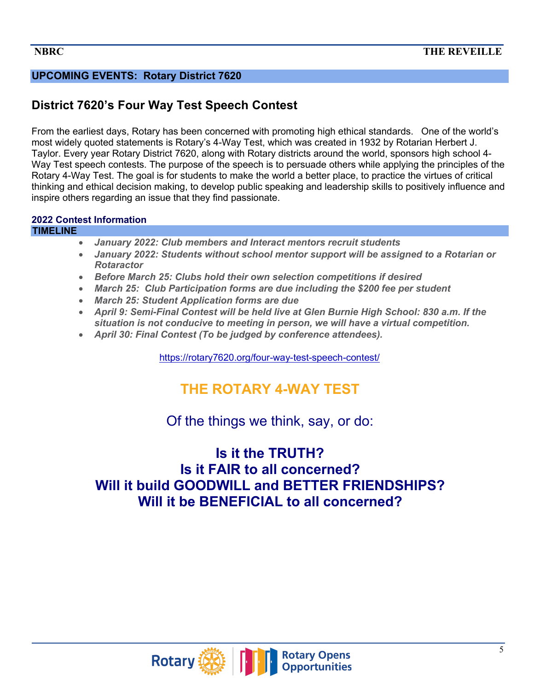# **UPCOMING EVENTS: Rotary District 7620**

# **District 7620's Four Way Test Speech Contest**

From the earliest days, Rotary has been concerned with promoting high ethical standards. One of the world's most widely quoted statements is Rotary's 4-Way Test, which was created in 1932 by Rotarian Herbert J. Taylor. Every year Rotary District 7620, along with Rotary districts around the world, sponsors high school 4- Way Test speech contests. The purpose of the speech is to persuade others while applying the principles of the Rotary 4-Way Test. The goal is for students to make the world a better place, to practice the virtues of critical thinking and ethical decision making, to develop public speaking and leadership skills to positively influence and inspire others regarding an issue that they find passionate.

### **2022 Contest Information**

### **TIMELINE**

- *January 2022: Club members and Interact mentors recruit students*
- *January 2022: Students without school mentor support will be assigned to a Rotarian or Rotaractor*
- *Before March 25: Clubs hold their own selection competitions if desired*
- *March 25: Club Participation forms are due including the \$200 fee per student*
- *March 25: Student Application forms are due*
- *April 9: Semi-Final Contest will be held live at Glen Burnie High School: 830 a.m. If the situation is not conducive to meeting in person, we will have a virtual competition.*
- *April 30: Final Contest (To be judged by conference attendees).*

https://rotary7620.org/four-way-test-speech-contest/

# **THE ROTARY 4-WAY TEST**

Of the things we think, say, or do:

# **Is it the TRUTH? Is it FAIR to all concerned? Will it build GOODWILL and BETTER FRIENDSHIPS? Will it be BENEFICIAL to all concerned?**